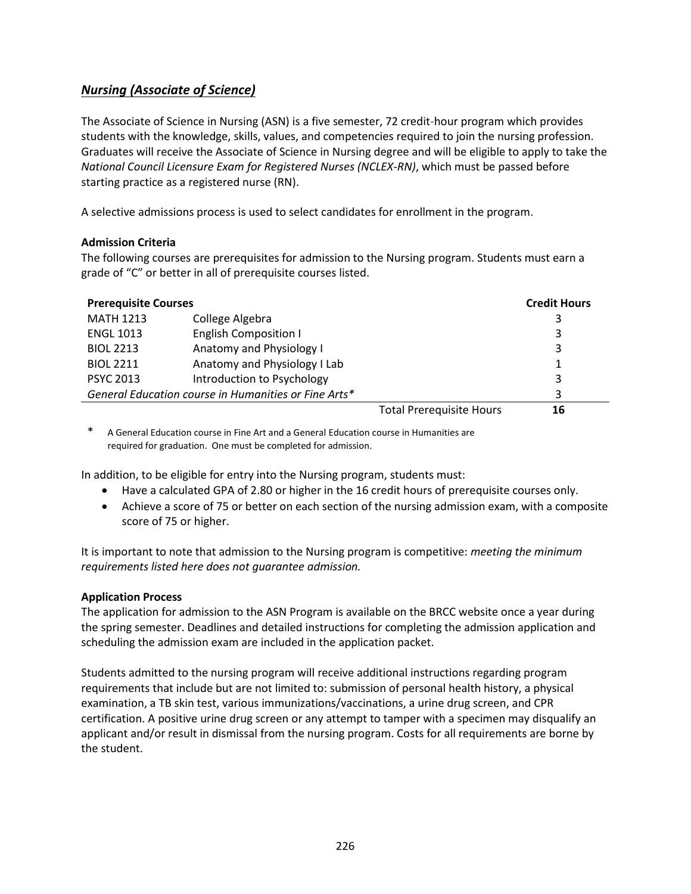# *Nursing (Associate of Science)*

The Associate of Science in Nursing (ASN) is a five semester, 72 credit-hour program which provides students with the knowledge, skills, values, and competencies required to join the nursing profession. Graduates will receive the Associate of Science in Nursing degree and will be eligible to apply to take the *National Council Licensure Exam for Registered Nurses (NCLEX-RN)*, which must be passed before starting practice as a registered nurse (RN).

A selective admissions process is used to select candidates for enrollment in the program.

## **Admission Criteria**

The following courses are prerequisites for admission to the Nursing program. Students must earn a grade of "C" or better in all of prerequisite courses listed.

| <b>Prerequisite Courses</b>                          |                              | <b>Credit Hours</b>             |    |
|------------------------------------------------------|------------------------------|---------------------------------|----|
| <b>MATH 1213</b>                                     | College Algebra              |                                 |    |
| <b>ENGL 1013</b>                                     | <b>English Composition I</b> |                                 | 3  |
| <b>BIOL 2213</b>                                     | Anatomy and Physiology I     |                                 | 3  |
| <b>BIOL 2211</b>                                     | Anatomy and Physiology I Lab |                                 |    |
| <b>PSYC 2013</b>                                     | Introduction to Psychology   |                                 |    |
| General Education course in Humanities or Fine Arts* |                              |                                 |    |
|                                                      |                              | <b>Total Prerequisite Hours</b> | 16 |

\* A General Education course in Fine Art and a General Education course in Humanities are required for graduation. One must be completed for admission.

In addition, to be eligible for entry into the Nursing program, students must:

- Have a calculated GPA of 2.80 or higher in the 16 credit hours of prerequisite courses only.
- Achieve a score of 75 or better on each section of the nursing admission exam, with a composite score of 75 or higher.

It is important to note that admission to the Nursing program is competitive: *meeting the minimum requirements listed here does not guarantee admission.*

### **Application Process**

The application for admission to the ASN Program is available on the BRCC website once a year during the spring semester. Deadlines and detailed instructions for completing the admission application and scheduling the admission exam are included in the application packet.

Students admitted to the nursing program will receive additional instructions regarding program requirements that include but are not limited to: submission of personal health history, a physical examination, a TB skin test, various immunizations/vaccinations, a urine drug screen, and CPR certification. A positive urine drug screen or any attempt to tamper with a specimen may disqualify an applicant and/or result in dismissal from the nursing program. Costs for all requirements are borne by the student.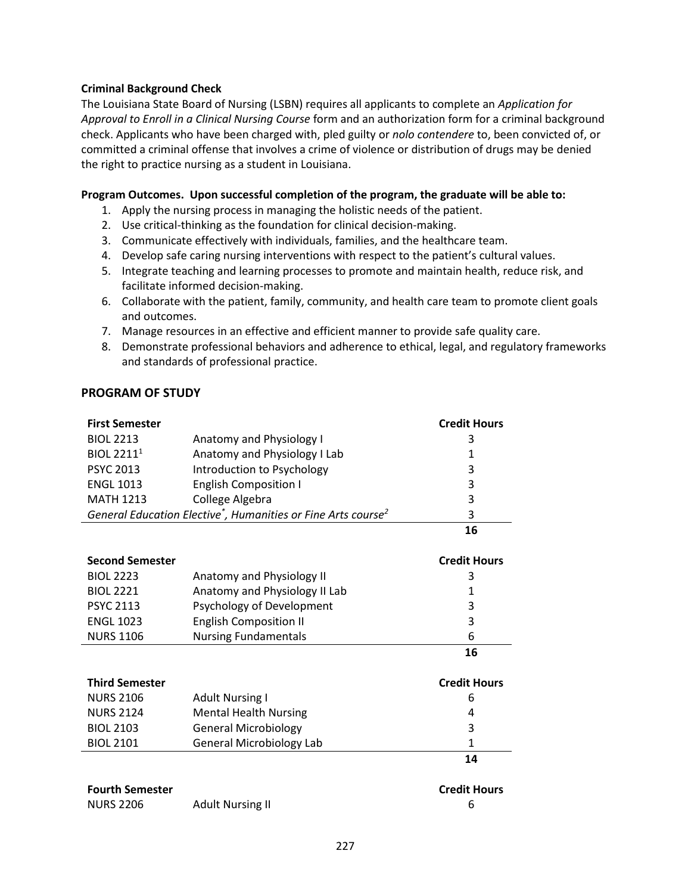### **Criminal Background Check**

The Louisiana State Board of Nursing (LSBN) requires all applicants to complete an *Application for Approval to Enroll in a Clinical Nursing Course* form and an authorization form for a criminal background check. Applicants who have been charged with, pled guilty or *nolo contendere* to, been convicted of, or committed a criminal offense that involves a crime of violence or distribution of drugs may be denied the right to practice nursing as a student in Louisiana.

#### **Program Outcomes. Upon successful completion of the program, the graduate will be able to:**

- 1. Apply the nursing process in managing the holistic needs of the patient.
- 2. Use critical-thinking as the foundation for clinical decision-making.
- 3. Communicate effectively with individuals, families, and the healthcare team.
- 4. Develop safe caring nursing interventions with respect to the patient's cultural values.
- 5. Integrate teaching and learning processes to promote and maintain health, reduce risk, and facilitate informed decision-making.
- 6. Collaborate with the patient, family, community, and health care team to promote client goals and outcomes.
- 7. Manage resources in an effective and efficient manner to provide safe quality care.
- 8. Demonstrate professional behaviors and adherence to ethical, legal, and regulatory frameworks and standards of professional practice.

## **PROGRAM OF STUDY**

| <b>First Semester</b>                                                                 |                              | <b>Credit Hours</b> |
|---------------------------------------------------------------------------------------|------------------------------|---------------------|
| <b>BIOL 2213</b>                                                                      | Anatomy and Physiology I     | 3                   |
| <b>BIOL 22111</b>                                                                     | Anatomy and Physiology I Lab | 1                   |
| <b>PSYC 2013</b>                                                                      | Introduction to Psychology   | 3                   |
| <b>ENGL 1013</b>                                                                      | <b>English Composition I</b> | 3                   |
| <b>MATH 1213</b>                                                                      | College Algebra              | 3                   |
| General Education Elective <sup>*</sup> , Humanities or Fine Arts course <sup>2</sup> |                              | 3                   |
|                                                                                       |                              | 16                  |

| <b>Second Semester</b> |                               | <b>Credit Hours</b> |
|------------------------|-------------------------------|---------------------|
| <b>BIOL 2223</b>       | Anatomy and Physiology II     | 3                   |
| <b>BIOL 2221</b>       | Anatomy and Physiology II Lab |                     |
| <b>PSYC 2113</b>       | Psychology of Development     | 3                   |
| <b>ENGL 1023</b>       | <b>English Composition II</b> | 3                   |
| <b>NURS 1106</b>       | <b>Nursing Fundamentals</b>   | 6                   |
|                        |                               | 16                  |

| <b>Third Semester</b> |                                 | <b>Credit Hours</b> |
|-----------------------|---------------------------------|---------------------|
| <b>NURS 2106</b>      | <b>Adult Nursing I</b>          | 6                   |
| <b>NURS 2124</b>      | <b>Mental Health Nursing</b>    | 4                   |
| <b>BIOL 2103</b>      | <b>General Microbiology</b>     | 3                   |
| <b>BIOL 2101</b>      | <b>General Microbiology Lab</b> | 1                   |
|                       |                                 | 14                  |

| <b>Fourth Semester</b> |                         | <b>Credit Hours</b> |
|------------------------|-------------------------|---------------------|
| <b>NURS 2206</b>       | <b>Adult Nursing II</b> |                     |